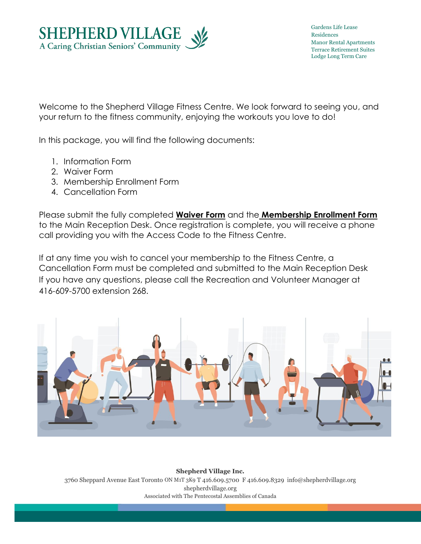

Gardens Life Lease Residences Manor Rental Apartments Terrace Retirement Suites Lodge Long Term Care

Welcome to the Shepherd Village Fitness Centre. We look forward to seeing you, and your return to the fitness community, enjoying the workouts you love to do!

In this package, you will find the following documents:

- 1. Information Form
- 2. Waiver Form
- 3. Membership Enrollment Form
- 4. Cancellation Form

Please submit the fully completed **Waiver Form** and the **Membership Enrollment Form** to the Main Reception Desk. Once registration is complete, you will receive a phone call providing you with the Access Code to the Fitness Centre.

If at any time you wish to cancel your membership to the Fitness Centre, a Cancellation Form must be completed and submitted to the Main Reception Desk If you have any questions, please call the Recreation and Volunteer Manager at 416-609-5700 extension 268.



**Shepherd Village Inc.** 3760 Sheppard Avenue East Toronto ON M1T 3K9 T 416.609.5700 F 416.609.8329 info@shepherdvillage.org shepherdvillage.org Associated with The Pentecostal Assemblies of Canada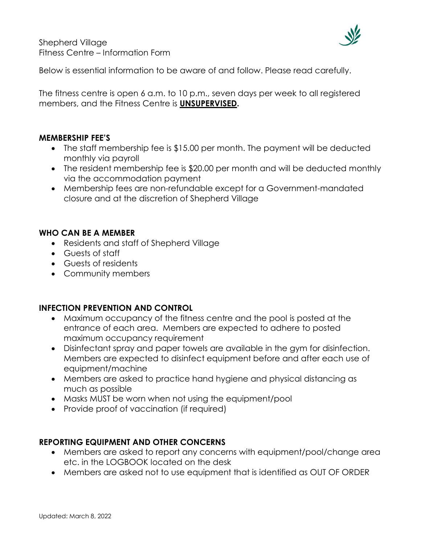

Below is essential information to be aware of and follow. Please read carefully.

The fitness centre is open 6 a.m. to 10 p.m., seven days per week to all registered members, and the Fitness Centre is **UNSUPERVISED.**

## **MEMBERSHIP FEE'S**

- The staff membership fee is \$15.00 per month. The payment will be deducted monthly via payroll
- The resident membership fee is \$20.00 per month and will be deducted monthly via the accommodation payment
- Membership fees are non-refundable except for a Government-mandated closure and at the discretion of Shepherd Village

# **WHO CAN BE A MEMBER**

- Residents and staff of Shepherd Village
- Guests of staff
- Guests of residents
- Community members

## **INFECTION PREVENTION AND CONTROL**

- Maximum occupancy of the fitness centre and the pool is posted at the entrance of each area. Members are expected to adhere to posted maximum occupancy requirement
- Disinfectant spray and paper towels are available in the gym for disinfection. Members are expected to disinfect equipment before and after each use of equipment/machine
- Members are asked to practice hand hygiene and physical distancing as much as possible
- Masks MUST be worn when not using the equipment/pool
- Provide proof of vaccination (if required)

## **REPORTING EQUIPMENT AND OTHER CONCERNS**

- Members are asked to report any concerns with equipment/pool/change area etc. in the LOGBOOK located on the desk
- Members are asked not to use equipment that is identified as OUT OF ORDER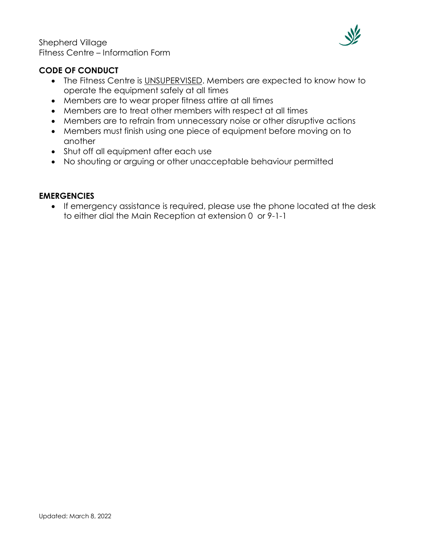Shepherd Village Fitness Centre – Information Form



## **CODE OF CONDUCT**

- The Fitness Centre is UNSUPERVISED. Members are expected to know how to operate the equipment safely at all times
- Members are to wear proper fitness attire at all times
- Members are to treat other members with respect at all times
- Members are to refrain from unnecessary noise or other disruptive actions
- Members must finish using one piece of equipment before moving on to another
- Shut off all equipment after each use
- No shouting or arguing or other unacceptable behaviour permitted

### **EMERGENCIES**

• If emergency assistance is required, please use the phone located at the desk to either dial the Main Reception at extension 0 or 9-1-1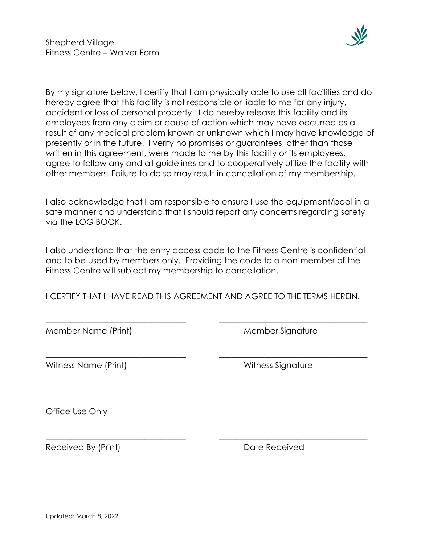

By my signature below, I certify that I am physically able to use all facilities and do hereby agree that this facility is not responsible or liable to me for any injury, accident or loss of personal property. I do hereby release this facility and its employees from any claim or cause of action which may have occurred as a result of any medical problem known or unknown which I may have knowledge of presently or in the future. I verify no promises or guarantees, other than those written in this agreement, were made to me by this facility or its employees. I agree to follow any and all guidelines and to cooperatively utilize the facility with other members. Failure to do so may result in cancellation of my membership.

I also acknowledge that I am responsible to ensure I use the equipment/pool in a safe manner and understand that I should report any concerns regarding safety via the LOG BOOK.

I also understand that the entry access code to the Fitness Centre is confidential and to be used by members only. Providing the code to a non-member of the Fitness Centre will subject my membership to cancellation.

I CERTIFY THAT I HAVE READ THIS AGREEMENT AND AGREE TO THE TERMS HEREIN.

\_\_\_\_\_\_\_\_\_\_\_\_\_\_\_\_\_\_\_\_\_\_\_\_\_\_\_\_\_\_\_\_\_\_ \_\_\_\_\_\_\_\_\_\_\_\_\_\_\_\_\_\_\_\_\_\_\_\_\_\_\_\_\_\_\_\_\_\_\_\_

\_\_\_\_\_\_\_\_\_\_\_\_\_\_\_\_\_\_\_\_\_\_\_\_\_\_\_\_\_\_\_\_\_\_ \_\_\_\_\_\_\_\_\_\_\_\_\_\_\_\_\_\_\_\_\_\_\_\_\_\_\_\_\_\_\_\_\_\_\_\_

\_\_\_\_\_\_\_\_\_\_\_\_\_\_\_\_\_\_\_\_\_\_\_\_\_\_\_\_\_\_\_\_\_\_ \_\_\_\_\_\_\_\_\_\_\_\_\_\_\_\_\_\_\_\_\_\_\_\_\_\_\_\_\_\_\_\_\_\_\_\_

Member Name (Print) Member Signature

Witness Name (Print) Witness Signature

Office Use Only

Received By (Print) Received By (Print)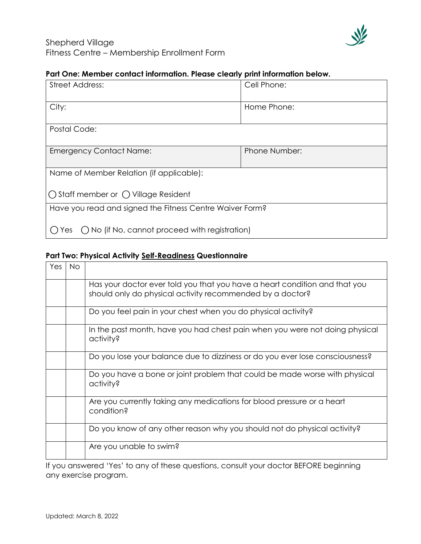

## **Part One: Member contact information. Please clearly print information below.**

| <b>Street Address:</b>                                        | Cell Phone:   |  |  |  |
|---------------------------------------------------------------|---------------|--|--|--|
| City:                                                         | Home Phone:   |  |  |  |
| Postal Code:                                                  |               |  |  |  |
| <b>Emergency Contact Name:</b>                                | Phone Number: |  |  |  |
| Name of Member Relation (if applicable):                      |               |  |  |  |
| $\bigcap$ Staff member or $\bigcap$ Village Resident          |               |  |  |  |
| Have you read and signed the Fitness Centre Waiver Form?      |               |  |  |  |
| $\bigcap$ No (if No, cannot proceed with registration)<br>Yes |               |  |  |  |

#### **Part Two: Physical Activity Self-Readiness Questionnaire**

| Yes | No. |                                                                                                                                         |
|-----|-----|-----------------------------------------------------------------------------------------------------------------------------------------|
|     |     | Has your doctor ever told you that you have a heart condition and that you<br>should only do physical activity recommended by a doctor? |
|     |     | Do you feel pain in your chest when you do physical activity?                                                                           |
|     |     | In the past month, have you had chest pain when you were not doing physical<br>activity?                                                |
|     |     | Do you lose your balance due to dizziness or do you ever lose consciousness?                                                            |
|     |     | Do you have a bone or joint problem that could be made worse with physical<br>activity?                                                 |
|     |     | Are you currently taking any medications for blood pressure or a heart<br>condition?                                                    |
|     |     | Do you know of any other reason why you should not do physical activity?                                                                |
|     |     | Are you unable to swim?                                                                                                                 |

If you answered 'Yes' to any of these questions, consult your doctor BEFORE beginning any exercise program.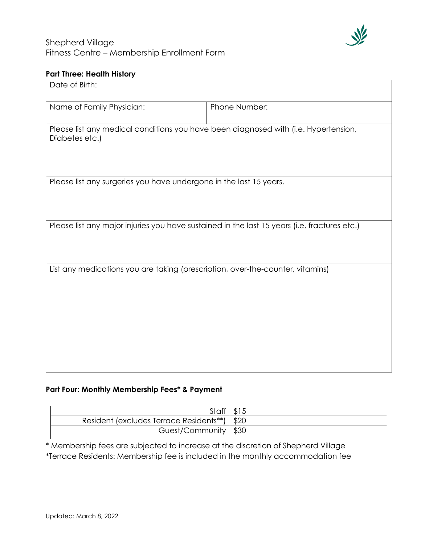

## **Part Three: Health History**

| Date of Birth:                                                                                        |               |  |  |  |  |
|-------------------------------------------------------------------------------------------------------|---------------|--|--|--|--|
| Name of Family Physician:                                                                             | Phone Number: |  |  |  |  |
| Please list any medical conditions you have been diagnosed with (i.e. Hypertension,<br>Diabetes etc.) |               |  |  |  |  |
| Please list any surgeries you have undergone in the last 15 years.                                    |               |  |  |  |  |
|                                                                                                       |               |  |  |  |  |
| Please list any major injuries you have sustained in the last 15 years (i.e. fractures etc.)          |               |  |  |  |  |
| List any medications you are taking (prescription, over-the-counter, vitamins)                        |               |  |  |  |  |
|                                                                                                       |               |  |  |  |  |
|                                                                                                       |               |  |  |  |  |

## **Part Four: Monthly Membership Fees\* & Payment**

| Staff $\vert$ \$15                      |      |
|-----------------------------------------|------|
| Resident (excludes Terrace Residents**) | \$20 |
| Guest/Community   \$30                  |      |

\* Membership fees are subjected to increase at the discretion of Shepherd Village \*Terrace Residents: Membership fee is included in the monthly accommodation fee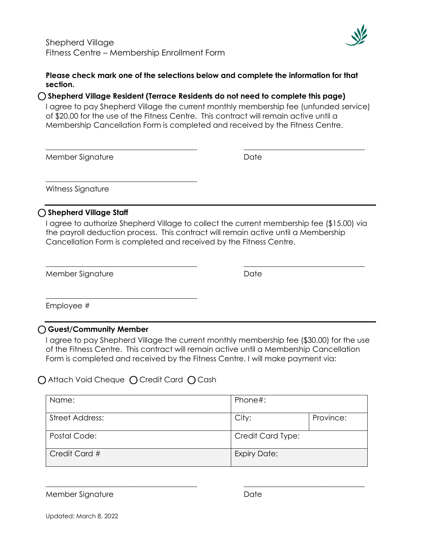\_\_\_\_\_\_\_\_\_\_\_\_\_\_\_\_\_\_\_\_\_\_\_\_\_\_\_\_\_\_\_\_\_\_\_\_\_\_\_\_



#### **Please check mark one of the selections below and complete the information for that section.**

### ⃝**Shepherd Village Resident (Terrace Residents do not need to complete this page)**

I agree to pay Shepherd Village the current monthly membership fee (unfunded service) of \$20.00 for the use of the Fitness Centre. This contract will remain active until a Membership Cancellation Form is completed and received by the Fitness Centre.

\_\_\_\_\_\_\_\_\_\_\_\_\_\_\_\_\_\_\_\_\_\_\_\_\_\_\_\_\_\_\_\_\_\_\_\_\_\_\_\_ \_\_\_\_\_\_\_\_\_\_\_\_\_\_\_\_\_\_\_\_\_\_\_\_\_\_\_\_\_\_\_\_

Member Signature **Date** Date

Witness Signature

## ⃝**Shepherd Village Staff**

I agree to authorize Shepherd Village to collect the current membership fee (\$15.00) via the payroll deduction process. This contract will remain active until a Membership Cancellation Form is completed and received by the Fitness Centre.

\_\_\_\_\_\_\_\_\_\_\_\_\_\_\_\_\_\_\_\_\_\_\_\_\_\_\_\_\_\_\_\_\_\_\_\_\_\_\_\_ \_\_\_\_\_\_\_\_\_\_\_\_\_\_\_\_\_\_\_\_\_\_\_\_\_\_\_\_\_\_\_\_

Member Signature **Date** Date

Employee #

### ⃝**Guest/Community Member**

I agree to pay Shepherd Village the current monthly membership fee (\$30.00) for the use of the Fitness Centre. This contract will remain active until a Membership Cancellation Form is completed and received by the Fitness Centre. I will make payment via:

◯ Attach Void Cheque ◯ Credit Card ◯ Cash

\_\_\_\_\_\_\_\_\_\_\_\_\_\_\_\_\_\_\_\_\_\_\_\_\_\_\_\_\_\_\_\_\_\_\_\_\_\_\_\_

| Name:           | Phone#:             |           |  |
|-----------------|---------------------|-----------|--|
| Street Address: | City:               | Province: |  |
| Postal Code:    | Credit Card Type:   |           |  |
| Credit Card #   | <b>Expiry Date:</b> |           |  |

 $\_$  , and the set of the set of the set of the set of the set of the set of the set of the set of the set of the set of the set of the set of the set of the set of the set of the set of the set of the set of the set of th

Member Signature **Date** Date